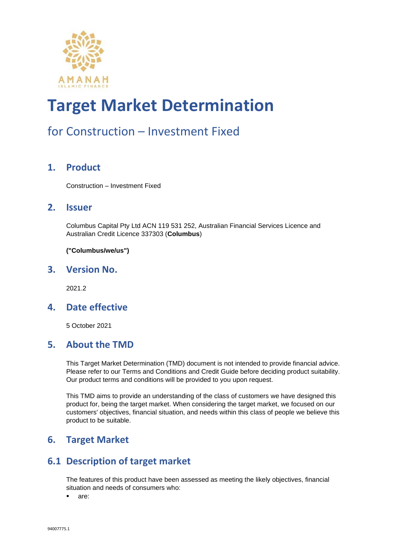

### for Construction – Investment Fixed

#### **1. Product**

Construction – Investment Fixed

#### **2. Issuer**

Columbus Capital Pty Ltd ACN 119 531 252, Australian Financial Services Licence and Australian Credit Licence 337303 (**Columbus**)

**("Columbus/we/us")**

#### **3. Version No.**

2021.2

#### **4. Date effective**

5 October 2021

#### **5. About the TMD**

This Target Market Determination (TMD) document is not intended to provide financial advice. Please refer to our Terms and Conditions and Credit Guide before deciding product suitability. Our product terms and conditions will be provided to you upon request.

This TMD aims to provide an understanding of the class of customers we have designed this product for, being the target market. When considering the target market, we focused on our customers' objectives, financial situation, and needs within this class of people we believe this product to be suitable.

#### **6. Target Market**

#### **6.1 Description of target market**

The features of this product have been assessed as meeting the likely objectives, financial situation and needs of consumers who:

▪ are: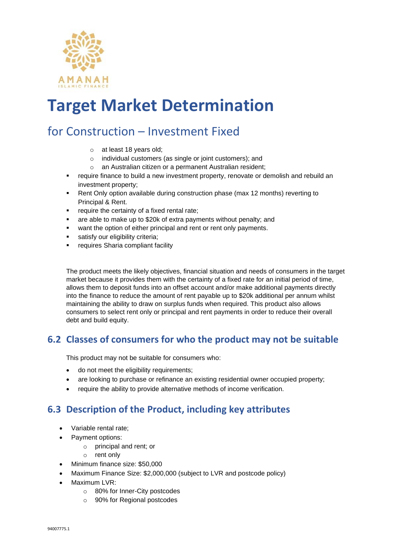

### for Construction – Investment Fixed

- o at least 18 years old;
- o individual customers (as single or joint customers); and
- o an Australian citizen or a permanent Australian resident;
- **•** require finance to build a new investment property, renovate or demolish and rebuild an investment property;
- Rent Only option available during construction phase (max 12 months) reverting to Principal & Rent.
- require the certainty of a fixed rental rate;
- are able to make up to \$20k of extra payments without penalty; and
- want the option of either principal and rent or rent only payments.
- satisfy our eligibility criteria;
- requires Sharia compliant facility

The product meets the likely objectives, financial situation and needs of consumers in the target market because it provides them with the certainty of a fixed rate for an initial period of time, allows them to deposit funds into an offset account and/or make additional payments directly into the finance to reduce the amount of rent payable up to \$20k additional per annum whilst maintaining the ability to draw on surplus funds when required. This product also allows consumers to select rent only or principal and rent payments in order to reduce their overall debt and build equity.

#### **6.2 Classes of consumers for who the product may not be suitable**

This product may not be suitable for consumers who:

- do not meet the eligibility requirements;
- are looking to purchase or refinance an existing residential owner occupied property;
- require the ability to provide alternative methods of income verification.

#### **6.3 Description of the Product, including key attributes**

- Variable rental rate;
- Payment options:
	- o principal and rent; or
	- o rent only
- Minimum finance size: \$50,000
- Maximum Finance Size: \$2,000,000 (subject to LVR and postcode policy)
- Maximum LVR:
	- o 80% for Inner-City postcodes
	- o 90% for Regional postcodes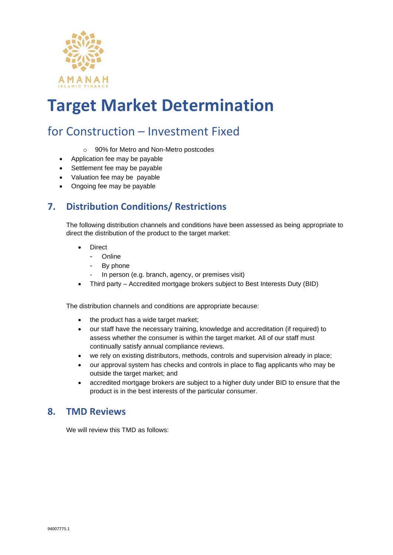

### for Construction – Investment Fixed

- o 90% for Metro and Non-Metro postcodes
- Application fee may be payable
- Settlement fee may be payable
- Valuation fee may be payable
- Ongoing fee may be payable

#### **7. Distribution Conditions/ Restrictions**

The following distribution channels and conditions have been assessed as being appropriate to direct the distribution of the product to the target market:

- **Direct** 
	- Online
	- By phone
	- In person (e.g. branch, agency, or premises visit)
- Third party Accredited mortgage brokers subject to Best Interests Duty (BID)

The distribution channels and conditions are appropriate because:

- the product has a wide target market;
- our staff have the necessary training, knowledge and accreditation (if required) to assess whether the consumer is within the target market. All of our staff must continually satisfy annual compliance reviews.
- we rely on existing distributors, methods, controls and supervision already in place;
- our approval system has checks and controls in place to flag applicants who may be outside the target market; and
- accredited mortgage brokers are subject to a higher duty under BID to ensure that the product is in the best interests of the particular consumer.

#### **8. TMD Reviews**

We will review this TMD as follows: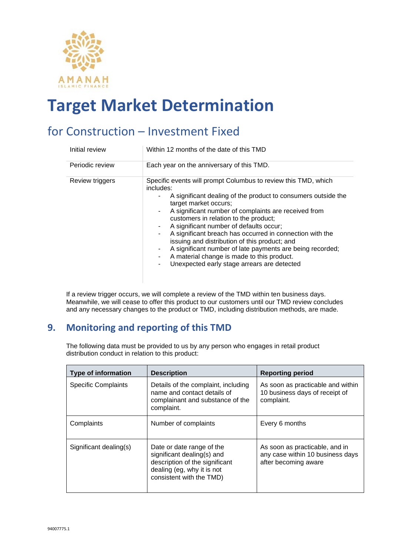

### for Construction – Investment Fixed

| Initial review  | Within 12 months of the date of this TMD                                                                                                                                                                                                                                                                                                                                                                                                                                                                                                                                                            |  |
|-----------------|-----------------------------------------------------------------------------------------------------------------------------------------------------------------------------------------------------------------------------------------------------------------------------------------------------------------------------------------------------------------------------------------------------------------------------------------------------------------------------------------------------------------------------------------------------------------------------------------------------|--|
| Periodic review | Each year on the anniversary of this TMD.                                                                                                                                                                                                                                                                                                                                                                                                                                                                                                                                                           |  |
| Review triggers | Specific events will prompt Columbus to review this TMD, which<br>includes:<br>A significant dealing of the product to consumers outside the<br>target market occurs;<br>A significant number of complaints are received from<br>customers in relation to the product;<br>A significant number of defaults occur;<br>A significant breach has occurred in connection with the<br>۰.<br>issuing and distribution of this product; and<br>A significant number of late payments are being recorded;<br>A material change is made to this product.<br>Unexpected early stage arrears are detected<br>۰ |  |

If a review trigger occurs, we will complete a review of the TMD within ten business days. Meanwhile, we will cease to offer this product to our customers until our TMD review concludes and any necessary changes to the product or TMD, including distribution methods, are made.

#### **9. Monitoring and reporting of this TMD**

The following data must be provided to us by any person who engages in retail product distribution conduct in relation to this product:

| <b>Type of information</b> | <b>Description</b>                                                                                                                                  | <b>Reporting period</b>                                                                    |
|----------------------------|-----------------------------------------------------------------------------------------------------------------------------------------------------|--------------------------------------------------------------------------------------------|
| <b>Specific Complaints</b> | Details of the complaint, including<br>name and contact details of<br>complainant and substance of the<br>complaint.                                | As soon as practicable and within<br>10 business days of receipt of<br>complaint.          |
| Complaints                 | Number of complaints                                                                                                                                | Every 6 months                                                                             |
| Significant dealing(s)     | Date or date range of the<br>significant dealing(s) and<br>description of the significant<br>dealing (eg, why it is not<br>consistent with the TMD) | As soon as practicable, and in<br>any case within 10 business days<br>after becoming aware |